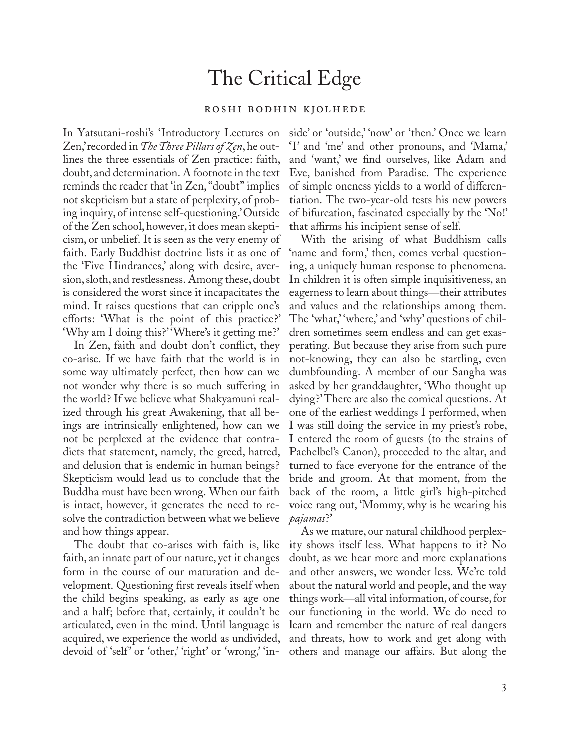## The Critical Edge

## roshi bodhin kjolhede

In Yatsutani-roshi's 'Introductory Lectures on Zen,' recorded in *The Three Pillars of Zen*, he outlines the three essentials of Zen practice: faith, doubt, and determination. A footnote in the text reminds the reader that 'in Zen, "doubt" implies not skepticism but a state of perplexity, of probing inquiry, of intense self-questioning.' Outside of the Zen school, however, it does mean skepticism, or unbelief. It is seen as the very enemy of faith. Early Buddhist doctrine lists it as one of the 'Five Hindrances,' along with desire, aversion, sloth, and restlessness. Among these, doubt is considered the worst since it incapacitates the mind. It raises questions that can cripple one's efforts: 'What is the point of this practice?' 'Why am I doing this?' 'Where's it getting me?'

In Zen, faith and doubt don't conflict, they co-arise. If we have faith that the world is in some way ultimately perfect, then how can we not wonder why there is so much suffering in the world? If we believe what Shakyamuni realized through his great Awakening, that all beings are intrinsically enlightened, how can we not be perplexed at the evidence that contradicts that statement, namely, the greed, hatred, and delusion that is endemic in human beings? Skepticism would lead us to conclude that the Buddha must have been wrong. When our faith is intact, however, it generates the need to resolve the contradiction between what we believe and how things appear.

The doubt that co-arises with faith is, like faith, an innate part of our nature, yet it changes form in the course of our maturation and development. Questioning first reveals itself when the child begins speaking, as early as age one and a half; before that, certainly, it couldn't be articulated, even in the mind. Until language is acquired, we experience the world as undivided, devoid of 'self' or 'other,' 'right' or 'wrong,' 'inside' or 'outside,' 'now' or 'then.' Once we learn 'I' and 'me' and other pronouns, and 'Mama,' and 'want,' we find ourselves, like Adam and Eve, banished from Paradise. The experience of simple oneness yields to a world of differentiation. The two-year-old tests his new powers of bifurcation, fascinated especially by the 'No!' that affirms his incipient sense of self.

With the arising of what Buddhism calls 'name and form,' then, comes verbal questioning, a uniquely human response to phenomena. In children it is often simple inquisitiveness, an eagerness to learn about things—their attributes and values and the relationships among them. The 'what,' 'where,' and 'why' questions of children sometimes seem endless and can get exasperating. But because they arise from such pure not-knowing, they can also be startling, even dumbfounding. A member of our Sangha was asked by her granddaughter, 'Who thought up dying?' There are also the comical questions. At one of the earliest weddings I performed, when I was still doing the service in my priest's robe, I entered the room of guests (to the strains of Pachelbel's Canon), proceeded to the altar, and turned to face everyone for the entrance of the bride and groom. At that moment, from the back of the room, a little girl's high-pitched voice rang out, 'Mommy, why is he wearing his *pajamas*?'

As we mature, our natural childhood perplexity shows itself less. What happens to it? No doubt, as we hear more and more explanations and other answers, we wonder less. We're told about the natural world and people, and the way things work—all vital information, of course, for our functioning in the world. We do need to learn and remember the nature of real dangers and threats, how to work and get along with others and manage our affairs. But along the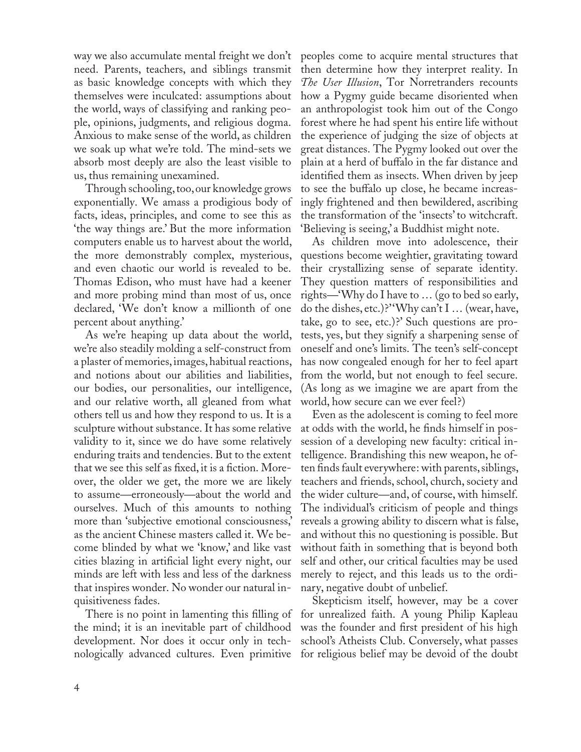way we also accumulate mental freight we don't need. Parents, teachers, and siblings transmit as basic knowledge concepts with which they themselves were inculcated: assumptions about the world, ways of classifying and ranking people, opinions, judgments, and religious dogma. Anxious to make sense of the world, as children we soak up what we're told. The mind-sets we absorb most deeply are also the least visible to us, thus remaining unexamined.

Through schooling, too, our knowledge grows exponentially. We amass a prodigious body of facts, ideas, principles, and come to see this as 'the way things are.' But the more information computers enable us to harvest about the world, the more demonstrably complex, mysterious, and even chaotic our world is revealed to be. Thomas Edison, who must have had a keener and more probing mind than most of us, once declared, 'We don't know a millionth of one percent about anything.'

As we're heaping up data about the world, we're also steadily molding a self-construct from a plaster of memories, images, habitual reactions, and notions about our abilities and liabilities, our bodies, our personalities, our intelligence, and our relative worth, all gleaned from what others tell us and how they respond to us. It is a sculpture without substance. It has some relative validity to it, since we do have some relatively enduring traits and tendencies. But to the extent that we see this self as fixed, it is a fiction. Moreover, the older we get, the more we are likely to assume—erroneously—about the world and ourselves. Much of this amounts to nothing more than 'subjective emotional consciousness,' as the ancient Chinese masters called it. We become blinded by what we 'know,' and like vast cities blazing in artificial light every night, our minds are left with less and less of the darkness that inspires wonder. No wonder our natural inquisitiveness fades.

There is no point in lamenting this filling of the mind; it is an inevitable part of childhood development. Nor does it occur only in technologically advanced cultures. Even primitive

peoples come to acquire mental structures that then determine how they interpret reality. In *The User Illusion*, Tor Norretranders recounts how a Pygmy guide became disoriented when an anthropologist took him out of the Congo forest where he had spent his entire life without the experience of judging the size of objects at great distances. The Pygmy looked out over the plain at a herd of buffalo in the far distance and identified them as insects. When driven by jeep to see the buffalo up close, he became increasingly frightened and then bewildered, ascribing the transformation of the 'insects' to witchcraft. 'Believing is seeing,' a Buddhist might note.

As children move into adolescence, their questions become weightier, gravitating toward their crystallizing sense of separate identity. They question matters of responsibilities and rights—'Why do I have to … (go to bed so early, do the dishes, etc.)?' 'Why can't I … (wear, have, take, go to see, etc.)?' Such questions are protests, yes, but they signify a sharpening sense of oneself and one's limits. The teen's self-concept has now congealed enough for her to feel apart from the world, but not enough to feel secure. (As long as we imagine we are apart from the world, how secure can we ever feel?)

Even as the adolescent is coming to feel more at odds with the world, he finds himself in possession of a developing new faculty: critical intelligence. Brandishing this new weapon, he often finds fault everywhere: with parents, siblings, teachers and friends, school, church, society and the wider culture—and, of course, with himself. The individual's criticism of people and things reveals a growing ability to discern what is false, and without this no questioning is possible. But without faith in something that is beyond both self and other, our critical faculties may be used merely to reject, and this leads us to the ordinary, negative doubt of unbelief.

Skepticism itself, however, may be a cover for unrealized faith. A young Philip Kapleau was the founder and first president of his high school's Atheists Club. Conversely, what passes for religious belief may be devoid of the doubt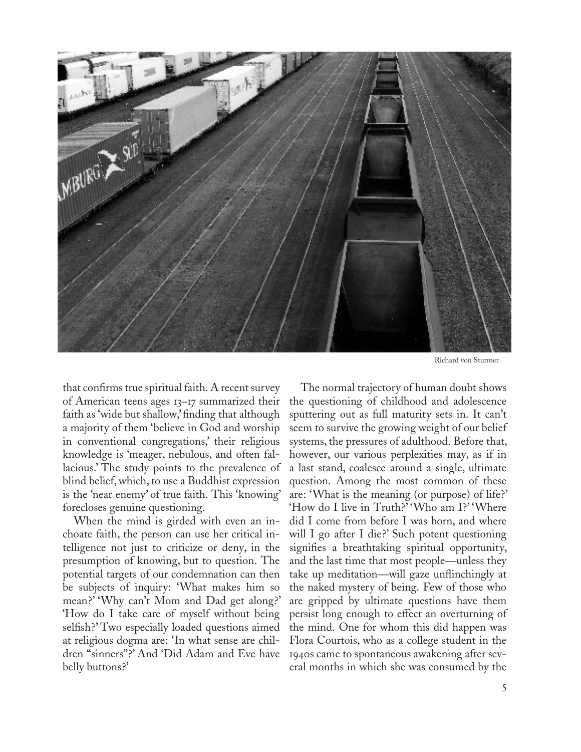

Richard von Sturmer

that confirms true spiritual faith. A recent survey of American teens ages 13–17 summarized their faith as 'wide but shallow,' finding that although a majority of them 'believe in God and worship in conventional congregations,' their religious knowledge is 'meager, nebulous, and often fallacious.' The study points to the prevalence of blind belief, which, to use a Buddhist expression is the 'near enemy' of true faith. This 'knowing' forecloses genuine questioning.

When the mind is girded with even an inchoate faith, the person can use her critical intelligence not just to criticize or deny, in the presumption of knowing, but to question. The potential targets of our condemnation can then be subjects of inquiry: 'What makes him so mean?' 'Why can't Mom and Dad get along?' 'How do I take care of myself without being selfish?' Two especially loaded questions aimed at religious dogma are: 'In what sense are children "sinners"?' And 'Did Adam and Eve have belly buttons?'

The normal trajectory of human doubt shows the questioning of childhood and adolescence sputtering out as full maturity sets in. It can't seem to survive the growing weight of our belief systems, the pressures of adulthood. Before that, however, our various perplexities may, as if in a last stand, coalesce around a single, ultimate question. Among the most common of these are: 'What is the meaning (or purpose) of life?' 'How do I live in Truth?' 'Who am I?' 'Where did I come from before I was born, and where will I go after I die?' Such potent questioning signifies a breathtaking spiritual opportunity, and the last time that most people—unless they take up meditation—will gaze unflinchingly at the naked mystery of being. Few of those who are gripped by ultimate questions have them persist long enough to effect an overturning of the mind. One for whom this did happen was Flora Courtois, who as a college student in the 1940s came to spontaneous awakening after several months in which she was consumed by the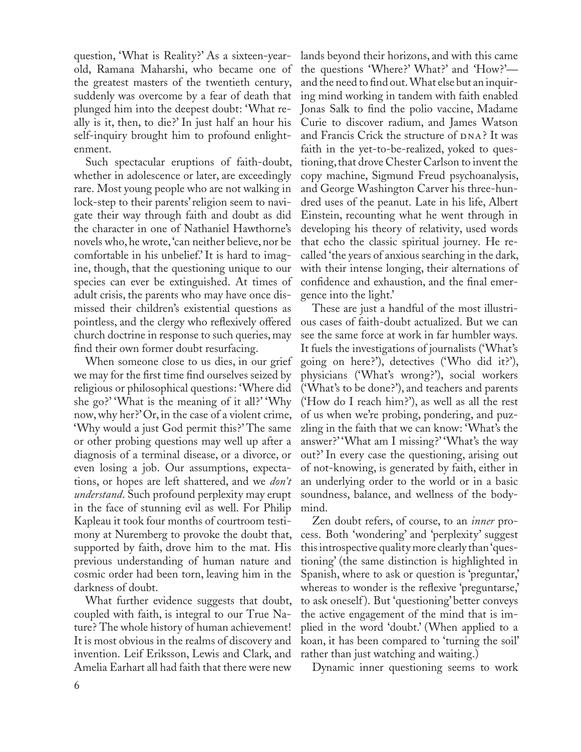question, 'What is Reality?' As a sixteen-yearold, Ramana Maharshi, who became one of the greatest masters of the twentieth century, suddenly was overcome by a fear of death that plunged him into the deepest doubt: 'What really is it, then, to die?' In just half an hour his self-inquiry brought him to profound enlightenment.

Such spectacular eruptions of faith-doubt, whether in adolescence or later, are exceedingly rare. Most young people who are not walking in lock-step to their parents' religion seem to navigate their way through faith and doubt as did the character in one of Nathaniel Hawthorne's novels who, he wrote, 'can neither believe, nor be comfortable in his unbelief.' It is hard to imagine, though, that the questioning unique to our species can ever be extinguished. At times of adult crisis, the parents who may have once dismissed their children's existential questions as pointless, and the clergy who reflexively offered church doctrine in response to such queries, may find their own former doubt resurfacing.

When someone close to us dies, in our grief we may for the first time find ourselves seized by religious or philosophical questions: 'Where did she go?' 'What is the meaning of it all?' 'Why now, why her?' Or, in the case of a violent crime, 'Why would a just God permit this?' The same or other probing questions may well up after a diagnosis of a terminal disease, or a divorce, or even losing a job. Our assumptions, expectations, or hopes are left shattered, and we *don't understand*. Such profound perplexity may erupt in the face of stunning evil as well. For Philip Kapleau it took four months of courtroom testimony at Nuremberg to provoke the doubt that, supported by faith, drove him to the mat. His previous understanding of human nature and cosmic order had been torn, leaving him in the darkness of doubt.

What further evidence suggests that doubt, coupled with faith, is integral to our True Nature? The whole history of human achievement! It is most obvious in the realms of discovery and invention. Leif Eriksson, Lewis and Clark, and Amelia Earhart all had faith that there were new

lands beyond their horizons, and with this came the questions 'Where?' What?' and 'How?' and the need to find out. What else but an inquiring mind working in tandem with faith enabled Jonas Salk to find the polio vaccine, Madame Curie to discover radium, and James Watson and Francis Crick the structure of DNA? It was faith in the yet-to-be-realized, yoked to questioning, that drove Chester Carlson to invent the copy machine, Sigmund Freud psychoanalysis, and George Washington Carver his three-hundred uses of the peanut. Late in his life, Albert Einstein, recounting what he went through in developing his theory of relativity, used words that echo the classic spiritual journey. He recalled 'the years of anxious searching in the dark, with their intense longing, their alternations of confidence and exhaustion, and the final emergence into the light.'

These are just a handful of the most illustrious cases of faith-doubt actualized. But we can see the same force at work in far humbler ways. It fuels the investigations of journalists ('What's going on here?'), detectives ('Who did it?'), physicians ('What's wrong?'), social workers ('What's to be done?'), and teachers and parents ('How do I reach him?'), as well as all the rest of us when we're probing, pondering, and puzzling in the faith that we can know: 'What's the answer?' 'What am I missing?' 'What's the way out?' In every case the questioning, arising out of not-knowing, is generated by faith, either in an underlying order to the world or in a basic soundness, balance, and wellness of the bodymind.

Zen doubt refers, of course, to an *inner* process. Both 'wondering' and 'perplexity' suggest this introspective quality more clearly than 'questioning' (the same distinction is highlighted in Spanish, where to ask or question is 'preguntar,' whereas to wonder is the reflexive 'preguntarse,' to ask oneself ). But 'questioning' better conveys the active engagement of the mind that is implied in the word 'doubt.' (When applied to a koan, it has been compared to 'turning the soil' rather than just watching and waiting.)

Dynamic inner questioning seems to work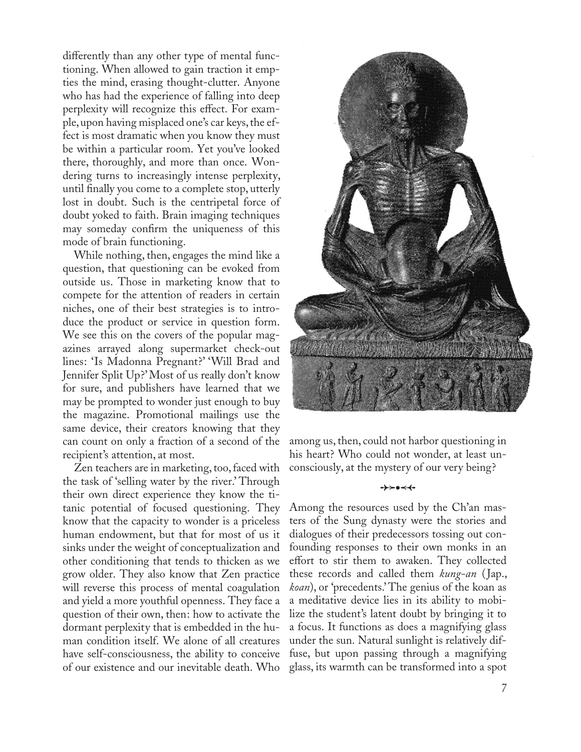differently than any other type of mental functioning. When allowed to gain traction it empties the mind, erasing thought-clutter. Anyone who has had the experience of falling into deep perplexity will recognize this effect. For example, upon having misplaced one's car keys, the effect is most dramatic when you know they must be within a particular room. Yet you've looked there, thoroughly, and more than once. Wondering turns to increasingly intense perplexity, until finally you come to a complete stop, utterly lost in doubt. Such is the centripetal force of doubt yoked to faith. Brain imaging techniques may someday confirm the uniqueness of this mode of brain functioning.

While nothing, then, engages the mind like a question, that questioning can be evoked from outside us. Those in marketing know that to compete for the attention of readers in certain niches, one of their best strategies is to introduce the product or service in question form. We see this on the covers of the popular magazines arrayed along supermarket check-out lines: 'Is Madonna Pregnant?' 'Will Brad and Jennifer Split Up?' Most of us really don't know for sure, and publishers have learned that we may be prompted to wonder just enough to buy the magazine. Promotional mailings use the same device, their creators knowing that they can count on only a fraction of a second of the recipient's attention, at most.

Zen teachers are in marketing, too, faced with the task of 'selling water by the river.' Through their own direct experience they know the titanic potential of focused questioning. They know that the capacity to wonder is a priceless human endowment, but that for most of us it sinks under the weight of conceptualization and other conditioning that tends to thicken as we grow older. They also know that Zen practice will reverse this process of mental coagulation and yield a more youthful openness. They face a question of their own, then: how to activate the dormant perplexity that is embedded in the human condition itself. We alone of all creatures have self-consciousness, the ability to conceive of our existence and our inevitable death. Who



among us, then, could not harbor questioning in his heart? Who could not wonder, at least unconsciously, at the mystery of our very being?

 $\rightarrow$   $\rightarrow$   $\rightarrow$   $\leftarrow$ 

## Among the resources used by the Ch'an masters of the Sung dynasty were the stories and dialogues of their predecessors tossing out confounding responses to their own monks in an effort to stir them to awaken. They collected these records and called them *kung-an* (Jap., *koan*), or 'precedents.' The genius of the koan as a meditative device lies in its ability to mobilize the student's latent doubt by bringing it to a focus. It functions as does a magnifying glass under the sun. Natural sunlight is relatively diffuse, but upon passing through a magnifying glass, its warmth can be transformed into a spot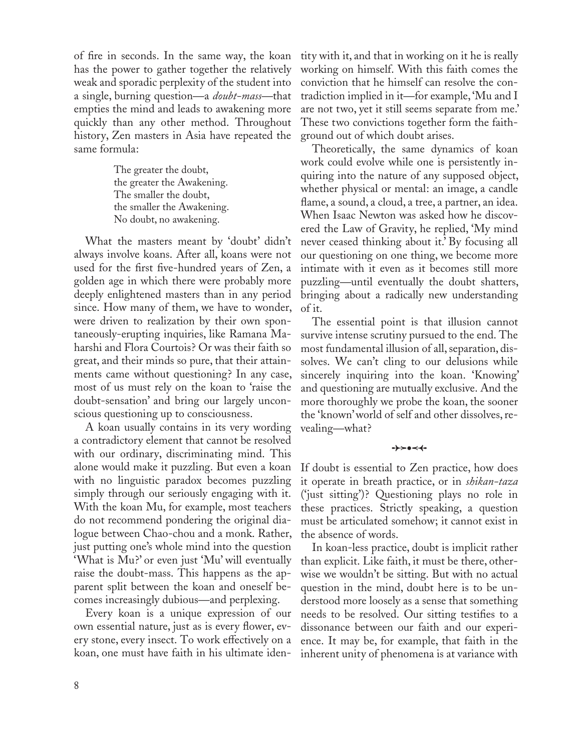of fire in seconds. In the same way, the koan has the power to gather together the relatively weak and sporadic perplexity of the student into a single, burning question—a *doubt-mass*—that empties the mind and leads to awakening more quickly than any other method. Throughout history, Zen masters in Asia have repeated the same formula:

> The greater the doubt, the greater the Awakening. The smaller the doubt, the smaller the Awakening. No doubt, no awakening.

What the masters meant by 'doubt' didn't always involve koans. After all, koans were not used for the first five-hundred years of Zen, a golden age in which there were probably more deeply enlightened masters than in any period since. How many of them, we have to wonder, were driven to realization by their own spontaneously-erupting inquiries, like Ramana Maharshi and Flora Courtois? Or was their faith so great, and their minds so pure, that their attainments came without questioning? In any case, most of us must rely on the koan to 'raise the doubt-sensation' and bring our largely unconscious questioning up to consciousness.

A koan usually contains in its very wording a contradictory element that cannot be resolved with our ordinary, discriminating mind. This alone would make it puzzling. But even a koan with no linguistic paradox becomes puzzling simply through our seriously engaging with it. With the koan Mu, for example, most teachers do not recommend pondering the original dialogue between Chao-chou and a monk. Rather, just putting one's whole mind into the question 'What is Mu?' or even just 'Mu' will eventually raise the doubt-mass. This happens as the apparent split between the koan and oneself becomes increasingly dubious—and perplexing.

Every koan is a unique expression of our own essential nature, just as is every flower, every stone, every insect. To work effectively on a koan, one must have faith in his ultimate iden-

tity with it, and that in working on it he is really working on himself. With this faith comes the conviction that he himself can resolve the contradiction implied in it—for example, 'Mu and I are not two, yet it still seems separate from me.' These two convictions together form the faithground out of which doubt arises.

Theoretically, the same dynamics of koan work could evolve while one is persistently inquiring into the nature of any supposed object, whether physical or mental: an image, a candle flame, a sound, a cloud, a tree, a partner, an idea. When Isaac Newton was asked how he discovered the Law of Gravity, he replied, 'My mind never ceased thinking about it.' By focusing all our questioning on one thing, we become more intimate with it even as it becomes still more puzzling—until eventually the doubt shatters, bringing about a radically new understanding of it.

The essential point is that illusion cannot survive intense scrutiny pursued to the end. The most fundamental illusion of all, separation, dissolves. We can't cling to our delusions while sincerely inquiring into the koan. 'Knowing' and questioning are mutually exclusive. And the more thoroughly we probe the koan, the sooner the 'known' world of self and other dissolves, revealing—what?

## $\rightarrow \rightarrow \rightarrow \rightarrow \leftarrow$

If doubt is essential to Zen practice, how does it operate in breath practice, or in *shikan-taza* ('just sitting')? Questioning plays no role in these practices. Strictly speaking, a question must be articulated somehow; it cannot exist in the absence of words.

In koan-less practice, doubt is implicit rather than explicit. Like faith, it must be there, otherwise we wouldn't be sitting. But with no actual question in the mind, doubt here is to be understood more loosely as a sense that something needs to be resolved. Our sitting testifies to a dissonance between our faith and our experience. It may be, for example, that faith in the inherent unity of phenomena is at variance with